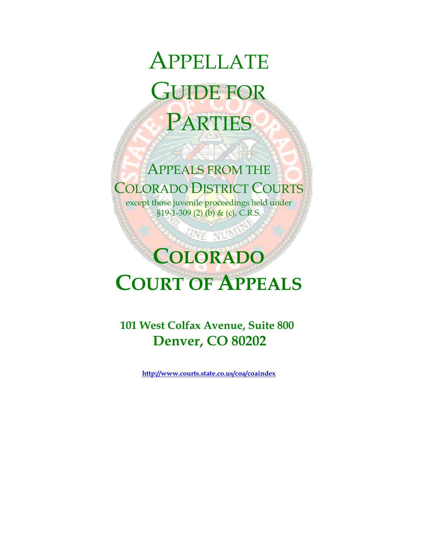# APPELLATE GUIDE FOR PARTIES

### APPEALS FROM THE COLORADO DISTRICT COURTS

ZA A

except those juvenile proceedings held under  $$19-1-309$  (2) (b) & (c), C.R.S.

## **COLORADO COURT OF APPEALS**

**SINE NUMB** 

**101 West Colfax Avenue, Suite 800 Denver, CO 80202**

**http://www.courts.state.co.us/coa/coaindex**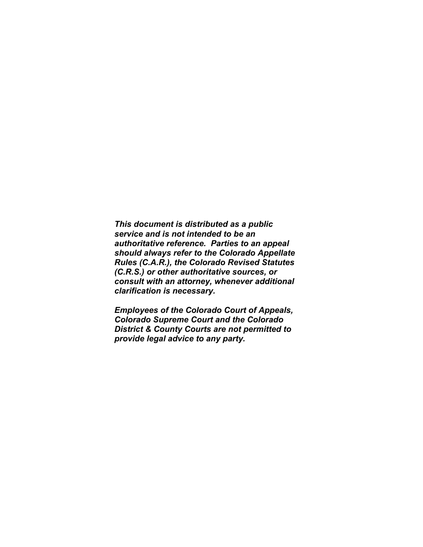*This document is distributed as a public service and is not intended to be an authoritative reference. Parties to an appeal should always refer to the Colorado Appellate Rules (C.A.R.), the Colorado Revised Statutes (C.R.S.) or other authoritative sources, or consult with an attorney, whenever additional clarification is necessary.* 

*Employees of the Colorado Court of Appeals, Colorado Supreme Court and the Colorado District & County Courts are not permitted to provide legal advice to any party.*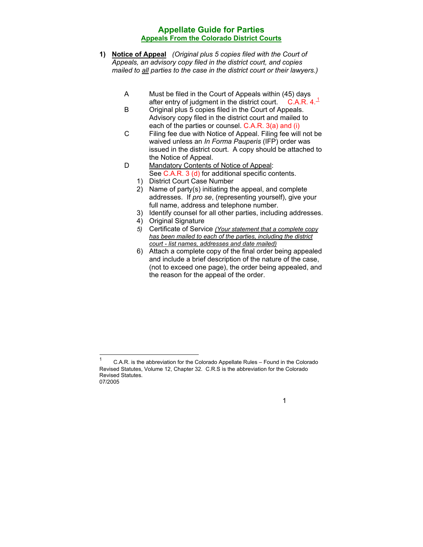- **1) Notice of Appeal** *(Original plus 5 copies filed with the Court of Appeals, an advisory copy filed in the district court, and copies mailed to all parties to the case in the district court or their lawyers.)* 
	- A Must be filed in the Court of Appeals within (45) days after entry of judgment in the district court. C.A.R.  $4.1$ <sup>-1</sup>
	- B Original plus 5 copies filed in the Court of Appeals. Advisory copy filed in the district court and mailed to each of the parties or counsel. C.A.R. 3(a) and (i)
	- C Filing fee due with Notice of Appeal. Filing fee will not be waived unless an *In Forma Pauperis* (IFP) order was issued in the district court. A copy should be attached to the Notice of Appeal.
	- D Mandatory Contents of Notice of Appeal: See C.A.R. 3 (d) for additional specific contents.
		- 1) District Court Case Number
		- 2) Name of party(s) initiating the appeal, and complete addresses. If *pro se*, (representing yourself), give your full name, address and telephone number.
		- 3) Identify counsel for all other parties, including addresses.
		- 4) Original Signature
		- *5)* Certificate of Service *(Your statement that a complete copy has been mailed to each of the parties, including the district court - list names, addresses and date mailed)*
		- 6) Attach a complete copy of the final order being appealed and include a brief description of the nature of the case, (not to exceed one page), the order being appealed, and the reason for the appeal of the order.

<sup>07/2005</sup>   $\frac{1}{1}$  C.A.R. is the abbreviation for the Colorado Appellate Rules – Found in the Colorado Revised Statutes, Volume 12, Chapter 32. C.R.S is the abbreviation for the Colorado Revised Statutes.

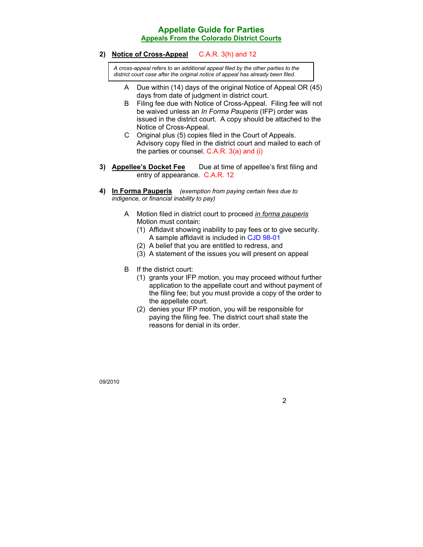**2) Notice of Cross-Appeal** C.A.R. 3(h) and 12

*A cross-appeal refers to an additional appeal filed by the other parties to the district court case after the original notice of appeal has already been filed.* 

- A Due within (14) days of the original Notice of Appeal OR (45) days from date of judgment in district court.
- B Filing fee due with Notice of Cross-Appeal. Filing fee will not be waived unless an *In Forma Pauperis* (IFP) order was issued in the district court. A copy should be attached to the Notice of Cross-Appeal.
- C Original plus (5) copies filed in the Court of Appeals. Advisory copy filed in the district court and mailed to each of the parties or counsel. C.A.R. 3(a) and (i)
- **3) Appellee's Docket Fee** Due at time of appellee's first filing and entry of appearance. C.A.R. 12
- **4) In Forma Pauperis** *(exemption from paying certain fees due to indigence, or financial inability to pay)*
	- A Motion filed in district court to proceed *in forma pauperis* Motion must contain:
		- (1) Affidavit showing inability to pay fees or to give security. A sample affidavit is included in CJD 98-01
		- (2) A belief that you are entitled to redress, and
		- (3) A statement of the issues you will present on appeal
	- B If the district court:
		- (1) grants your IFP motion, you may proceed without further application to the appellate court and without payment of the filing fee; but you must provide a copy of the order to the appellate court.
		- (2) denies your IFP motion, you will be responsible for paying the filing fee. The district court shall state the reasons for denial in its order.

09/2010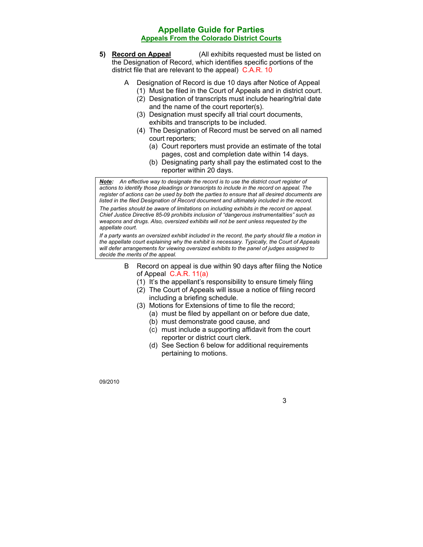- **5) Record on Appeal** (All exhibits requested must be listed on the Designation of Record, which identifies specific portions of the district file that are relevant to the appeal) C.A.R. 10
	- A Designation of Record is due 10 days after Notice of Appeal
		- (1) Must be filed in the Court of Appeals and in district court.
		- (2) Designation of transcripts must include hearing/trial date and the name of the court reporter(s).
		- (3) Designation must specify all trial court documents, exhibits and transcripts to be included.
		- (4) The Designation of Record must be served on all named court reporters;
			- (a) Court reporters must provide an estimate of the total pages, cost and completion date within 14 days.
			- (b) Designating party shall pay the estimated cost to the reporter within 20 days.

*Note: An effective way to designate the record is to use the district court register of actions to identify those pleadings or transcripts to include in the record on appeal. The*  register of actions can be used by both the parties to ensure that all desired documents are *listed in the filed Designation of Record document and ultimately included in the record. The parties should be aware of limitations on including exhibits in the record on appeal. Chief Justice Directive 85-09 prohibits inclusion of "dangerous instrumentalities" such as weapons and drugs. Also, oversized exhibits will not be sent unless requested by the appellate court.* 

*If a party wants an oversized exhibit included in the record, the party should file a motion in the appellate court explaining why the exhibit is necessary. Typically, the Court of Appeals will defer arrangements for viewing oversized exhibits to the panel of judges assigned to decide the merits of the appeal.*

- B Record on appeal is due within 90 days after filing the Notice of Appeal C.A.R. 11(a)
	- (1) It's the appellant's responsibility to ensure timely filing
	- (2) The Court of Appeals will issue a notice of filing record including a briefing schedule.
	- (3) Motions for Extensions of time to file the record; (a) must be filed by appellant on or before due date,
		- (b) must demonstrate good cause, and
		- (c) must include a supporting affidavit from the court reporter or district court clerk.
		- (d) See Section 6 below for additional requirements pertaining to motions.

09/2010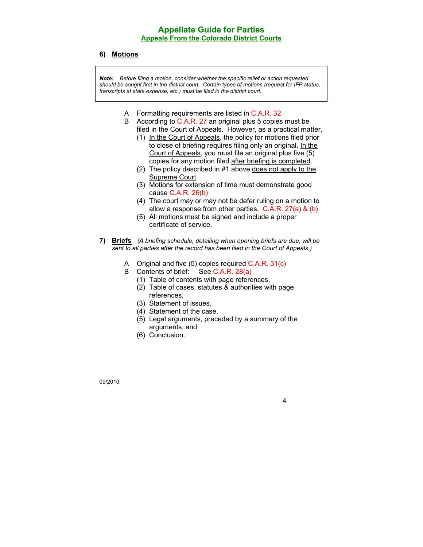#### **6) Motions**

*Note: Before filing a motion, consider whether the specific relief or action requested should be sought first in the district court. Certain types of motions (request for IFP status, transcripts at state expense, etc.) must be filed in the district court.* 

- A Formatting requirements are listed in C.A.R. 32
- B According to C.A.R. 27 an original plus 5 copies must be filed in the Court of Appeals. However, as a practical matter,
	- (1) In the Court of Appeals, the policy for motions filed prior to close of briefing requires filing only an original. In the Court of Appeals, you must file an original plus five (5) copies for any motion filed after briefing is completed.
	- (2) The policy described in #1 above does not apply to the Supreme Court.
	- (3) Motions for extension of time must demonstrate good cause C.A.R. 26(b)
	- (4) The court may or may not be defer ruling on a motion to allow a response from other parties. C.A.R. 27(a) & (b)
	- (5) All motions must be signed and include a proper certificate of service.
- **7) Briefs** *(A briefing schedule, detailing when opening briefs are due, will be sent to all parties after the record has been filed in the Court of Appeals.)*
	- A Original and five (5) copies required C.A.R. 31(c)
	- B Contents of brief: See C.A.R. 28(a)
		- (1) Table of contents with page references,
		- (2) Table of cases, statutes & authorities with page references,
		- (3) Statement of issues,
		- (4) Statement of the case,
		- (5) Legal arguments, preceded by a summary of the arguments, and

4

(6) Conclusion.

09/2010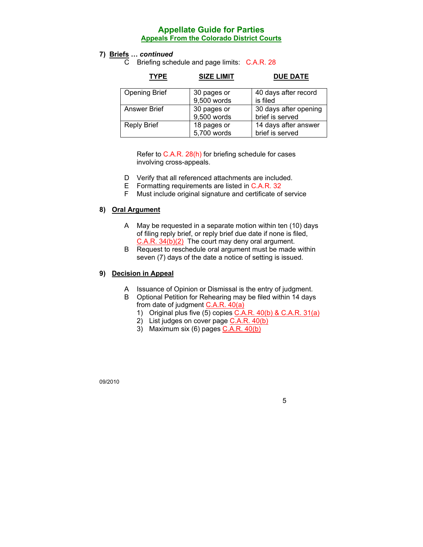#### **7) Briefs …** *continued*

C Briefing schedule and page limits: C.A.R. 28

| <b>TYPE</b>          | <b>SIZE LIMIT</b>          | <b>DUE DATE</b>                          |
|----------------------|----------------------------|------------------------------------------|
| <b>Opening Brief</b> | 30 pages or<br>9,500 words | 40 days after record<br>is filed         |
| <b>Answer Brief</b>  | 30 pages or<br>9,500 words | 30 days after opening<br>brief is served |
| <b>Reply Brief</b>   | 18 pages or<br>5,700 words | 14 days after answer<br>brief is served  |

Refer to C.A.R. 28(h) for briefing schedule for cases involving cross-appeals.

- D Verify that all referenced attachments are included.
- E Formatting requirements are listed in C.A.R. 32
- F Must include original signature and certificate of service

#### **8) Oral Argument**

- A May be requested in a separate motion within ten (10) days of filing reply brief, or reply brief due date if none is filed, C.A.R. 34(b)(2) The court may deny oral argument.
- B Request to reschedule oral argument must be made within seven (7) days of the date a notice of setting is issued.

#### **9) Decision in Appeal**

- A Issuance of Opinion or Dismissal is the entry of judgment.
- B Optional Petition for Rehearing may be filed within 14 days from date of judgment C.A.R. 40(a)
	- 1) Original plus five (5) copies C.A.R. 40(b) & C.A.R. 31(a)
	- 2) List judges on cover page  $C.A.R. 40(b)$
	- 3) Maximum six (6) pages C.A.R. 40(b)

09/2010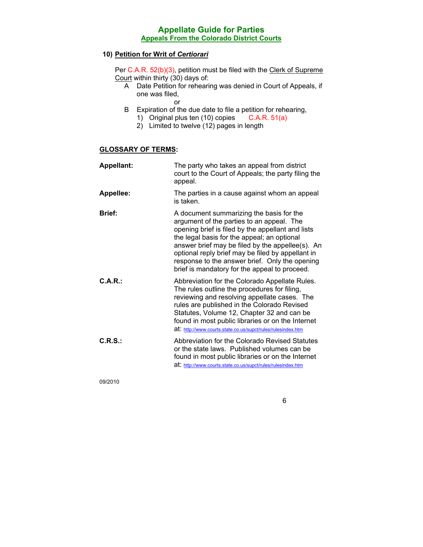#### **10) Petition for Writ of** *Certiorari*

Per C.A.R. 52(b)(3), petition must be filed with the Clerk of Supreme Court within thirty (30) days of:

- A Date Petition for rehearing was denied in Court of Appeals, if one was filed,
	- or
- B Expiration of the due date to file a petition for rehearing,
	- 1) Original plus ten (10) copies C.A.R. 51(a)
	- 2) Limited to twelve (12) pages in length

#### **GLOSSARY OF TERMS:**

| <b>Appellant:</b> | The party who takes an appeal from district<br>court to the Court of Appeals; the party filing the<br>appeal.                                                                                                                                                                                                                                                                                         |
|-------------------|-------------------------------------------------------------------------------------------------------------------------------------------------------------------------------------------------------------------------------------------------------------------------------------------------------------------------------------------------------------------------------------------------------|
| <b>Appellee:</b>  | The parties in a cause against whom an appeal<br>is taken.                                                                                                                                                                                                                                                                                                                                            |
| <b>Brief:</b>     | A document summarizing the basis for the<br>argument of the parties to an appeal. The<br>opening brief is filed by the appellant and lists<br>the legal basis for the appeal; an optional<br>answer brief may be filed by the appellee(s). An<br>optional reply brief may be filed by appellant in<br>response to the answer brief. Only the opening<br>brief is mandatory for the appeal to proceed. |
| C.A.R.            | Abbreviation for the Colorado Appellate Rules.<br>The rules outline the procedures for filing,<br>reviewing and resolving appellate cases. The<br>rules are published in the Colorado Revised<br>Statutes, Volume 12, Chapter 32 and can be<br>found in most public libraries or on the Internet<br>at: http://www.courts.state.co.us/supct/rules/rulesindex.htm                                      |
| C.R.S.            | Abbreviation for the Colorado Revised Statutes<br>or the state laws. Published volumes can be<br>found in most public libraries or on the Internet<br>at: http://www.courts.state.co.us/supct/rules/rulesindex.htm                                                                                                                                                                                    |

09/2010